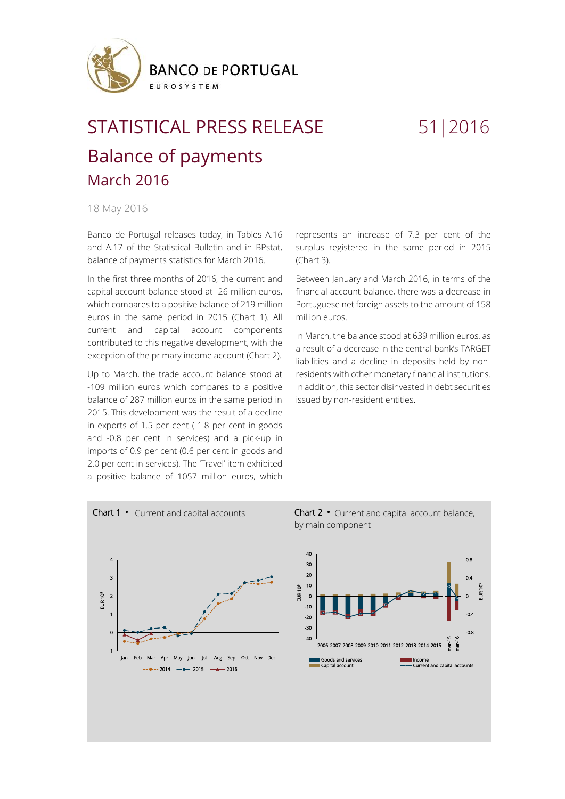

## STATISTICAL PRESS RELEASE 51|2016 Balance of payments March 2016

## 18 May 2016

Banco de Portugal releases today, in Tables A.16 and A.17 of the Statistical Bulletin and in BPstat, balance of payments statistics for March 2016.

In the first three months of 2016, the current and capital account balance stood at -26 million euros, which compares to a positive balance of 219 million euros in the same period in 2015 (Chart 1). All current and capital account components contributed to this negative development, with the exception of the primary income account (Chart 2).

Up to March, the trade account balance stood at -109 million euros which compares to a positive balance of 287 million euros in the same period in 2015. This development was the result of a decline in exports of 1.5 per cent (-1.8 per cent in goods and -0.8 per cent in services) and a pick-up in imports of 0.9 per cent (0.6 per cent in goods and 2.0 per cent in services). The 'Travel' item exhibited a positive balance of 1057 million euros, which

represents an increase of 7.3 per cent of the surplus registered in the same period in 2015 (Chart 3).

Between January and March 2016, in terms of the financial account balance, there was a decrease in Portuguese net foreign assets to the amount of 158 million euros.

In March, the balance stood at 639 million euros, as a result of a decrease in the central bank's TARGET liabilities and a decline in deposits held by nonresidents with other monetary financial institutions. In addition, this sector disinvested in debt securities issued by non-resident entities.